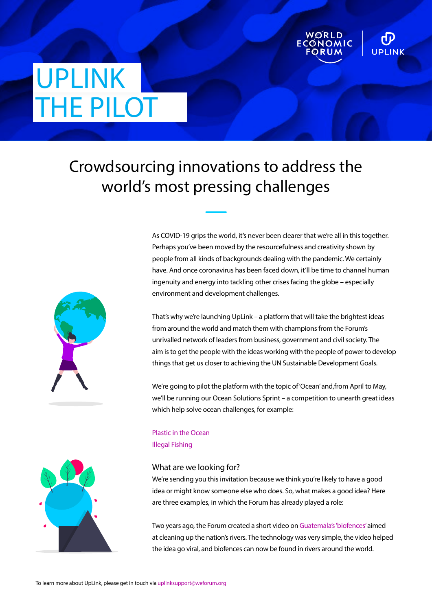# UPLINK THE PILOT

## Crowdsourcing innovations to address the world's most pressing challenges



As COVID-19 grips the world, it's never been clearer that we're all in this together. Perhaps you've been moved by the resourcefulness and creativity shown by people from all kinds of backgrounds dealing with the pandemic. We certainly have. And once coronavirus has been faced down, it'll be time to channel human ingenuity and energy into tackling other crises facing the globe – especially environment and development challenges.

**UPLINK** 

That's why we're launching UpLink – a platform that will take the brightest ideas from around the world and match them with champions from the Forum's unrivalled network of leaders from business, government and civil society. The aim is to get the people with the ideas working with the people of power to develop things that get us closer to achieving the UN Sustainable Development Goals.

We're going to pilot the platform with the topic of 'Ocean' and,from April to May, we'll be running our Ocean Solutions Sprint – a competition to unearth great ideas which help solve ocean challenges, for example:

#### What are we looking for?

[Plastic in the Ocean](https://uplink.prod.weforum.org/uplink/s/uplink-issue/a002o00000tE3TGAA0/plastic-ocean-pollution)

[Illegal Fishing](https://uplink.prod.weforum.org/uplink/s/uplink-issue/a002o00000tE3THAA0/illegal-unreported-and-unregulated-iuu-fishing)

We're sending you this invitation because we think you're likely to have a good idea or might know someone else who does. So, what makes a good idea? Here are three examples, in which the Forum has already played a role:

Two years ago, the Forum created a short video on [Guatemala's 'biofences'](https://www.weforum.org/agenda/2018/12/guatemala-s-biofences-are-cleaning-up-latin-american-rivers-and-it-s-thanks-to-a-facebook-video/) aimed at cleaning up the nation's rivers. The technology was very simple, the video helped the idea go viral, and biofences can now be found in rivers around the world.